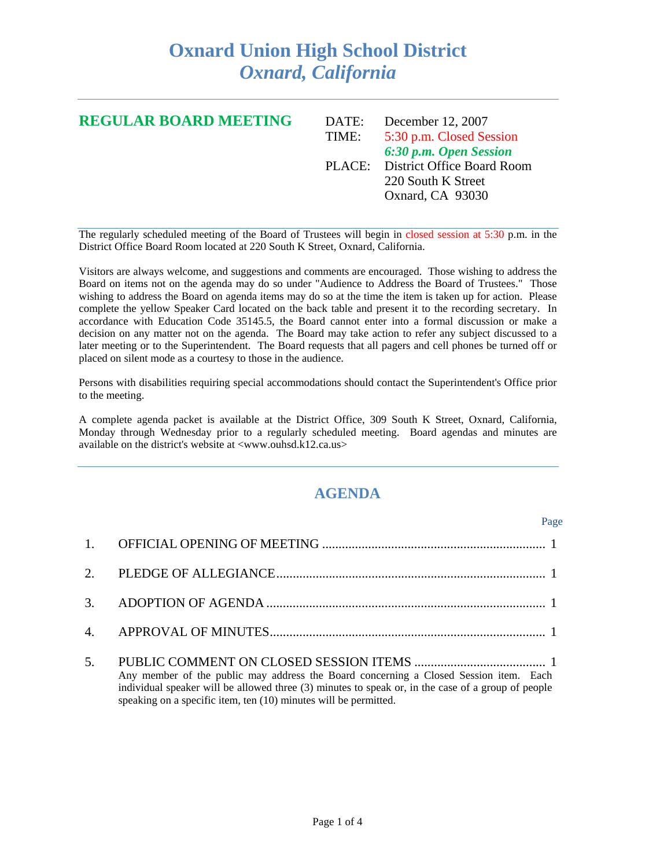## **Oxnard Union High School District**  *Oxnard, California*

| <b>REGULAR BOARD MEETING</b> | DATE: | December 12, 2007                 |
|------------------------------|-------|-----------------------------------|
|                              | TIME: | 5:30 p.m. Closed Session          |
|                              |       | 6:30 p.m. Open Session            |
|                              |       | PLACE: District Office Board Room |
|                              |       | 220 South K Street                |
|                              |       | Oxnard, CA 93030                  |
|                              |       |                                   |

The regularly scheduled meeting of the Board of Trustees will begin in closed session at 5:30 p.m. in the District Office Board Room located at 220 South K Street, Oxnard, California.

Visitors are always welcome, and suggestions and comments are encouraged. Those wishing to address the Board on items not on the agenda may do so under "Audience to Address the Board of Trustees." Those wishing to address the Board on agenda items may do so at the time the item is taken up for action. Please complete the yellow Speaker Card located on the back table and present it to the recording secretary. In accordance with Education Code 35145.5, the Board cannot enter into a formal discussion or make a decision on any matter not on the agenda. The Board may take action to refer any subject discussed to a later meeting or to the Superintendent. The Board requests that all pagers and cell phones be turned off or placed on silent mode as a courtesy to those in the audience.

Persons with disabilities requiring special accommodations should contact the Superintendent's Office prior to the meeting.

A complete agenda packet is available at the District Office, 309 South K Street, Oxnard, California, Monday through Wednesday prior to a regularly scheduled meeting. Board agendas and minutes are available on the district's website at <www.ouhsd.k12.ca.us>

## **AGENDA**

|                                                                                                                                                                                                                                                                 | Page |
|-----------------------------------------------------------------------------------------------------------------------------------------------------------------------------------------------------------------------------------------------------------------|------|
|                                                                                                                                                                                                                                                                 |      |
|                                                                                                                                                                                                                                                                 |      |
|                                                                                                                                                                                                                                                                 |      |
|                                                                                                                                                                                                                                                                 |      |
| Any member of the public may address the Board concerning a Closed Session item. Each<br>individual speaker will be allowed three (3) minutes to speak or, in the case of a group of people<br>speaking on a specific item, ten (10) minutes will be permitted. |      |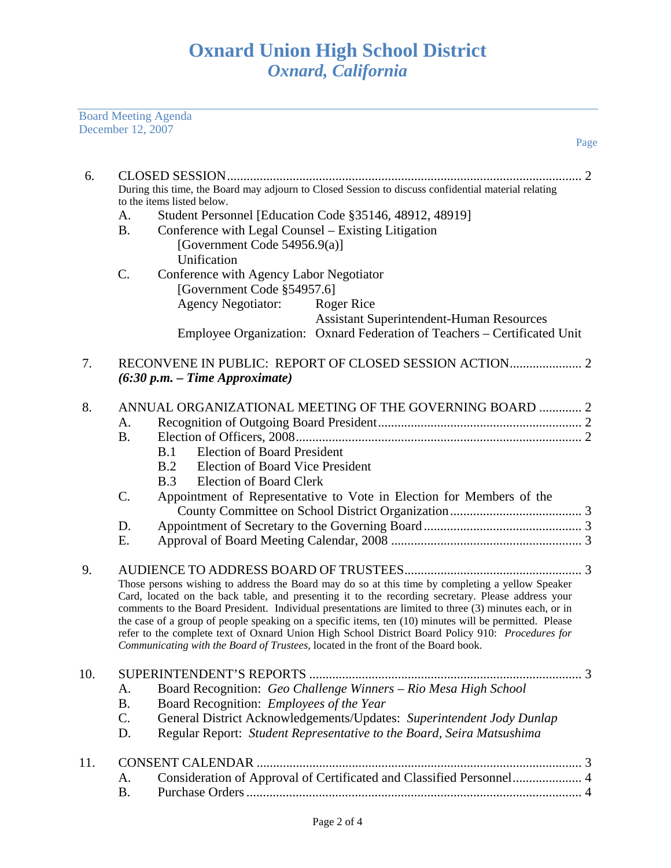Board Meeting Agenda December 12, 2007

| 6.  |                 | During this time, the Board may adjourn to Closed Session to discuss confidential material relating<br>to the items listed below.                                                                                                                                                                                                                                                                                                                                                                                                                                                                                   |
|-----|-----------------|---------------------------------------------------------------------------------------------------------------------------------------------------------------------------------------------------------------------------------------------------------------------------------------------------------------------------------------------------------------------------------------------------------------------------------------------------------------------------------------------------------------------------------------------------------------------------------------------------------------------|
|     | A.              | Student Personnel [Education Code §35146, 48912, 48919]                                                                                                                                                                                                                                                                                                                                                                                                                                                                                                                                                             |
|     | <b>B.</b>       | Conference with Legal Counsel – Existing Litigation                                                                                                                                                                                                                                                                                                                                                                                                                                                                                                                                                                 |
|     |                 |                                                                                                                                                                                                                                                                                                                                                                                                                                                                                                                                                                                                                     |
|     |                 | [Government Code 54956.9(a)]                                                                                                                                                                                                                                                                                                                                                                                                                                                                                                                                                                                        |
|     |                 | Unification                                                                                                                                                                                                                                                                                                                                                                                                                                                                                                                                                                                                         |
|     | C.              | Conference with Agency Labor Negotiator                                                                                                                                                                                                                                                                                                                                                                                                                                                                                                                                                                             |
|     |                 | [Government Code §54957.6]                                                                                                                                                                                                                                                                                                                                                                                                                                                                                                                                                                                          |
|     |                 | <b>Agency Negotiator:</b><br><b>Roger Rice</b>                                                                                                                                                                                                                                                                                                                                                                                                                                                                                                                                                                      |
|     |                 | <b>Assistant Superintendent-Human Resources</b>                                                                                                                                                                                                                                                                                                                                                                                                                                                                                                                                                                     |
|     |                 | Employee Organization: Oxnard Federation of Teachers – Certificated Unit                                                                                                                                                                                                                                                                                                                                                                                                                                                                                                                                            |
| 7.  |                 | $(6:30 p.m. - Time Approximate)$                                                                                                                                                                                                                                                                                                                                                                                                                                                                                                                                                                                    |
|     |                 |                                                                                                                                                                                                                                                                                                                                                                                                                                                                                                                                                                                                                     |
| 8.  |                 | ANNUAL ORGANIZATIONAL MEETING OF THE GOVERNING BOARD  2                                                                                                                                                                                                                                                                                                                                                                                                                                                                                                                                                             |
|     | A.              |                                                                                                                                                                                                                                                                                                                                                                                                                                                                                                                                                                                                                     |
|     | <b>B.</b>       |                                                                                                                                                                                                                                                                                                                                                                                                                                                                                                                                                                                                                     |
|     |                 | <b>Election of Board President</b><br>B.1                                                                                                                                                                                                                                                                                                                                                                                                                                                                                                                                                                           |
|     |                 | <b>Election of Board Vice President</b><br>B.2                                                                                                                                                                                                                                                                                                                                                                                                                                                                                                                                                                      |
|     |                 | <b>Election of Board Clerk</b><br>B.3                                                                                                                                                                                                                                                                                                                                                                                                                                                                                                                                                                               |
|     | C.              | Appointment of Representative to Vote in Election for Members of the                                                                                                                                                                                                                                                                                                                                                                                                                                                                                                                                                |
|     |                 |                                                                                                                                                                                                                                                                                                                                                                                                                                                                                                                                                                                                                     |
|     | D.              |                                                                                                                                                                                                                                                                                                                                                                                                                                                                                                                                                                                                                     |
|     | Ε.              |                                                                                                                                                                                                                                                                                                                                                                                                                                                                                                                                                                                                                     |
| 9.  |                 | Those persons wishing to address the Board may do so at this time by completing a yellow Speaker<br>Card, located on the back table, and presenting it to the recording secretary. Please address your<br>comments to the Board President. Individual presentations are limited to three (3) minutes each, or in<br>the case of a group of people speaking on a specific items, ten (10) minutes will be permitted. Please<br>refer to the complete text of Oxnard Union High School District Board Policy 910: Procedures for<br>Communicating with the Board of Trustees, located in the front of the Board book. |
|     |                 |                                                                                                                                                                                                                                                                                                                                                                                                                                                                                                                                                                                                                     |
| 10. |                 | <b>SUPERINTENDENT'S REPORTS</b><br>. 3                                                                                                                                                                                                                                                                                                                                                                                                                                                                                                                                                                              |
|     | A.<br><b>B.</b> | Board Recognition: Geo Challenge Winners - Rio Mesa High School<br>Board Recognition: Employees of the Year                                                                                                                                                                                                                                                                                                                                                                                                                                                                                                         |
|     | $\mathcal{C}$ . | General District Acknowledgements/Updates: Superintendent Jody Dunlap                                                                                                                                                                                                                                                                                                                                                                                                                                                                                                                                               |
|     | D.              | Regular Report: Student Representative to the Board, Seira Matsushima                                                                                                                                                                                                                                                                                                                                                                                                                                                                                                                                               |
|     |                 |                                                                                                                                                                                                                                                                                                                                                                                                                                                                                                                                                                                                                     |
| 11. |                 | <b>CONSENT CALENDAR</b>                                                                                                                                                                                                                                                                                                                                                                                                                                                                                                                                                                                             |
|     | A.              | Consideration of Approval of Certificated and Classified Personnel 4                                                                                                                                                                                                                                                                                                                                                                                                                                                                                                                                                |
|     | Β.              |                                                                                                                                                                                                                                                                                                                                                                                                                                                                                                                                                                                                                     |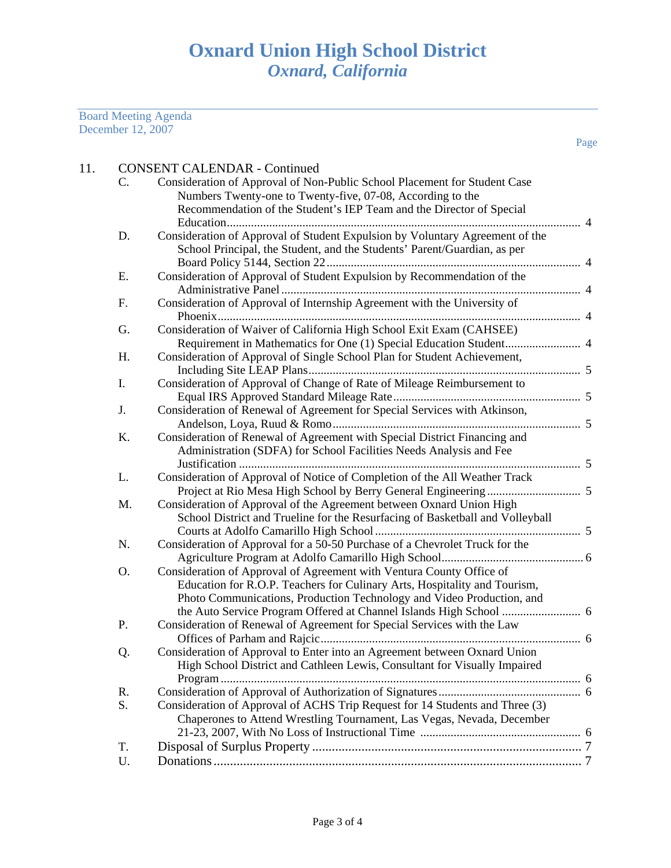Board Meeting Agenda December 12, 2007

| 11. |    | <b>CONSENT CALENDAR - Continued</b>                                                                                                                   |
|-----|----|-------------------------------------------------------------------------------------------------------------------------------------------------------|
|     | C. | Consideration of Approval of Non-Public School Placement for Student Case<br>Numbers Twenty-one to Twenty-five, 07-08, According to the               |
|     |    | Recommendation of the Student's IEP Team and the Director of Special                                                                                  |
|     |    |                                                                                                                                                       |
|     | D. | Consideration of Approval of Student Expulsion by Voluntary Agreement of the                                                                          |
|     |    | School Principal, the Student, and the Students' Parent/Guardian, as per                                                                              |
|     | E. | Consideration of Approval of Student Expulsion by Recommendation of the                                                                               |
|     |    |                                                                                                                                                       |
|     | F. | Consideration of Approval of Internship Agreement with the University of                                                                              |
|     |    |                                                                                                                                                       |
|     | G. | Consideration of Waiver of California High School Exit Exam (CAHSEE)                                                                                  |
|     |    |                                                                                                                                                       |
|     | H. | Consideration of Approval of Single School Plan for Student Achievement,                                                                              |
|     | I. | Consideration of Approval of Change of Rate of Mileage Reimbursement to                                                                               |
|     |    |                                                                                                                                                       |
|     | J. | Consideration of Renewal of Agreement for Special Services with Atkinson,                                                                             |
|     |    |                                                                                                                                                       |
|     | K. | Consideration of Renewal of Agreement with Special District Financing and                                                                             |
|     |    | Administration (SDFA) for School Facilities Needs Analysis and Fee                                                                                    |
|     |    |                                                                                                                                                       |
|     | L. | Consideration of Approval of Notice of Completion of the All Weather Track                                                                            |
|     |    |                                                                                                                                                       |
|     | M. | Consideration of Approval of the Agreement between Oxnard Union High<br>School District and Trueline for the Resurfacing of Basketball and Volleyball |
|     |    |                                                                                                                                                       |
|     | N. | Consideration of Approval for a 50-50 Purchase of a Chevrolet Truck for the                                                                           |
|     |    |                                                                                                                                                       |
|     | 0. | Consideration of Approval of Agreement with Ventura County Office of                                                                                  |
|     |    | Education for R.O.P. Teachers for Culinary Arts, Hospitality and Tourism,                                                                             |
|     |    | Photo Communications, Production Technology and Video Production, and                                                                                 |
|     |    |                                                                                                                                                       |
|     | P. | Consideration of Renewal of Agreement for Special Services with the Law                                                                               |
|     | Q. | Consideration of Approval to Enter into an Agreement between Oxnard Union                                                                             |
|     |    | High School District and Cathleen Lewis, Consultant for Visually Impaired                                                                             |
|     |    |                                                                                                                                                       |
|     | R. |                                                                                                                                                       |
|     | S. | Consideration of Approval of ACHS Trip Request for 14 Students and Three (3)                                                                          |
|     |    | Chaperones to Attend Wrestling Tournament, Las Vegas, Nevada, December                                                                                |
|     |    |                                                                                                                                                       |
|     | T. |                                                                                                                                                       |
|     | U. |                                                                                                                                                       |